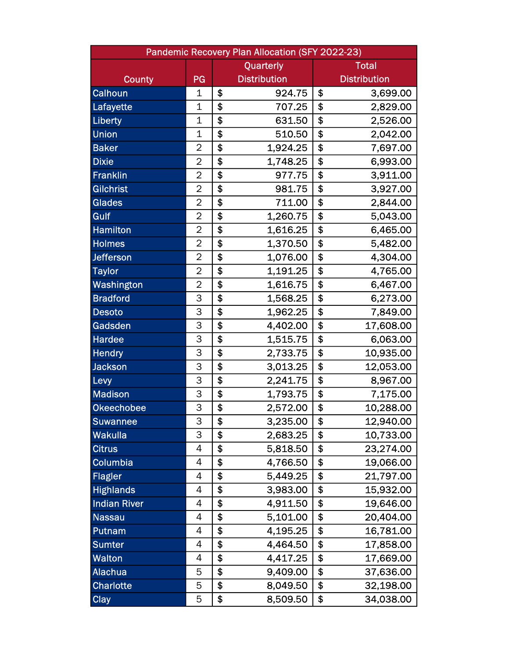| Pandemic Recovery Plan Allocation (SFY 2022-23) |                |    |                     |              |                     |  |  |  |
|-------------------------------------------------|----------------|----|---------------------|--------------|---------------------|--|--|--|
|                                                 | Quarterly      |    |                     | <b>Total</b> |                     |  |  |  |
| <b>County</b>                                   | PG             |    | <b>Distribution</b> |              | <b>Distribution</b> |  |  |  |
| Calhoun                                         | 1              | \$ | 924.75              | \$           | 3,699.00            |  |  |  |
| Lafayette                                       | $\mathbf 1$    | \$ | 707.25              | \$           | 2,829.00            |  |  |  |
| Liberty                                         | $\mathbf 1$    | \$ | 631.50              | \$           | 2,526.00            |  |  |  |
| <b>Union</b>                                    | $\mathbf 1$    | \$ | 510.50              | \$           | 2,042.00            |  |  |  |
| <b>Baker</b>                                    | $\overline{2}$ | \$ | 1,924.25            | \$           | 7,697.00            |  |  |  |
| <b>Dixie</b>                                    | $\overline{2}$ | \$ | 1,748.25            | \$           | 6,993.00            |  |  |  |
| <b>Franklin</b>                                 | $\overline{2}$ | \$ | 977.75              | \$           | 3,911.00            |  |  |  |
| <b>Gilchrist</b>                                | $\overline{2}$ | \$ | 981.75              | \$           | 3,927.00            |  |  |  |
| <b>Glades</b>                                   | $\overline{2}$ | \$ | 711.00              | \$           | 2,844.00            |  |  |  |
| Gulf                                            | $\overline{2}$ | \$ | 1,260.75            | \$           | 5,043.00            |  |  |  |
| <b>Hamilton</b>                                 | $\overline{2}$ | \$ | 1,616.25            | \$           | 6,465.00            |  |  |  |
| <b>Holmes</b>                                   | $\overline{2}$ | \$ | 1,370.50            | \$           | 5,482.00            |  |  |  |
| <b>Jefferson</b>                                | $\overline{2}$ | \$ | 1,076.00            | \$           | 4,304.00            |  |  |  |
| <b>Taylor</b>                                   | $\overline{2}$ | \$ | 1,191.25            | \$           | 4,765.00            |  |  |  |
| Washington                                      | $\overline{2}$ | \$ | 1,616.75            | \$           | 6,467.00            |  |  |  |
| <b>Bradford</b>                                 | 3              | \$ | 1,568.25            | \$           | 6,273.00            |  |  |  |
| <b>Desoto</b>                                   | 3              | \$ | 1,962.25            | \$           | 7,849.00            |  |  |  |
| Gadsden                                         | 3              | \$ | 4,402.00            | \$           | 17,608.00           |  |  |  |
| <b>Hardee</b>                                   | 3              | \$ | 1,515.75            | \$           | 6,063.00            |  |  |  |
| <b>Hendry</b>                                   | 3              | \$ | 2,733.75            | \$           | 10,935.00           |  |  |  |
| <b>Jackson</b>                                  | 3              | \$ | 3,013.25            | \$           | 12,053.00           |  |  |  |
| Levy                                            | 3              | \$ | 2,241.75            | \$           | 8,967.00            |  |  |  |
| <b>Madison</b>                                  | 3              | \$ | 1,793.75            | \$           | 7,175.00            |  |  |  |
| <b>Okeechobee</b>                               | 3              | \$ | 2,572.00            | \$           | 10,288.00           |  |  |  |
| <b>Suwannee</b>                                 | 3              | \$ | 3,235.00            | \$           | 12,940.00           |  |  |  |
| <b>Wakulla</b>                                  | 3              | \$ | 2,683.25            | \$           | 10,733.00           |  |  |  |
| <b>Citrus</b>                                   | 4              | \$ | 5,818.50            | \$           | 23,274.00           |  |  |  |
| Columbia                                        | 4              | \$ | 4,766.50            | \$           | 19,066.00           |  |  |  |
| <b>Flagler</b>                                  | 4              | \$ | 5,449.25            | \$           | 21,797.00           |  |  |  |
| <b>Highlands</b>                                | 4              | \$ | 3,983.00            | \$           | 15,932.00           |  |  |  |
| <b>Indian River</b>                             | 4              | \$ | 4,911.50            | \$           | 19,646.00           |  |  |  |
| <b>Nassau</b>                                   | 4              | \$ | 5,101.00            | \$           | 20,404.00           |  |  |  |
| Putnam                                          | 4              | \$ | 4,195.25            | \$           | 16,781.00           |  |  |  |
| <b>Sumter</b>                                   | 4              | \$ | 4,464.50            | \$           | 17,858.00           |  |  |  |
| <b>Walton</b>                                   | 4              | \$ | 4,417.25            | \$           | 17,669.00           |  |  |  |
| <b>Alachua</b>                                  | 5              | \$ | 9,409.00            | \$           | 37,636.00           |  |  |  |
| <b>Charlotte</b>                                | 5              | \$ | 8,049.50            | \$           | 32,198.00           |  |  |  |
| <b>Clay</b>                                     | 5              | \$ | 8,509.50            | \$           | 34,038.00           |  |  |  |